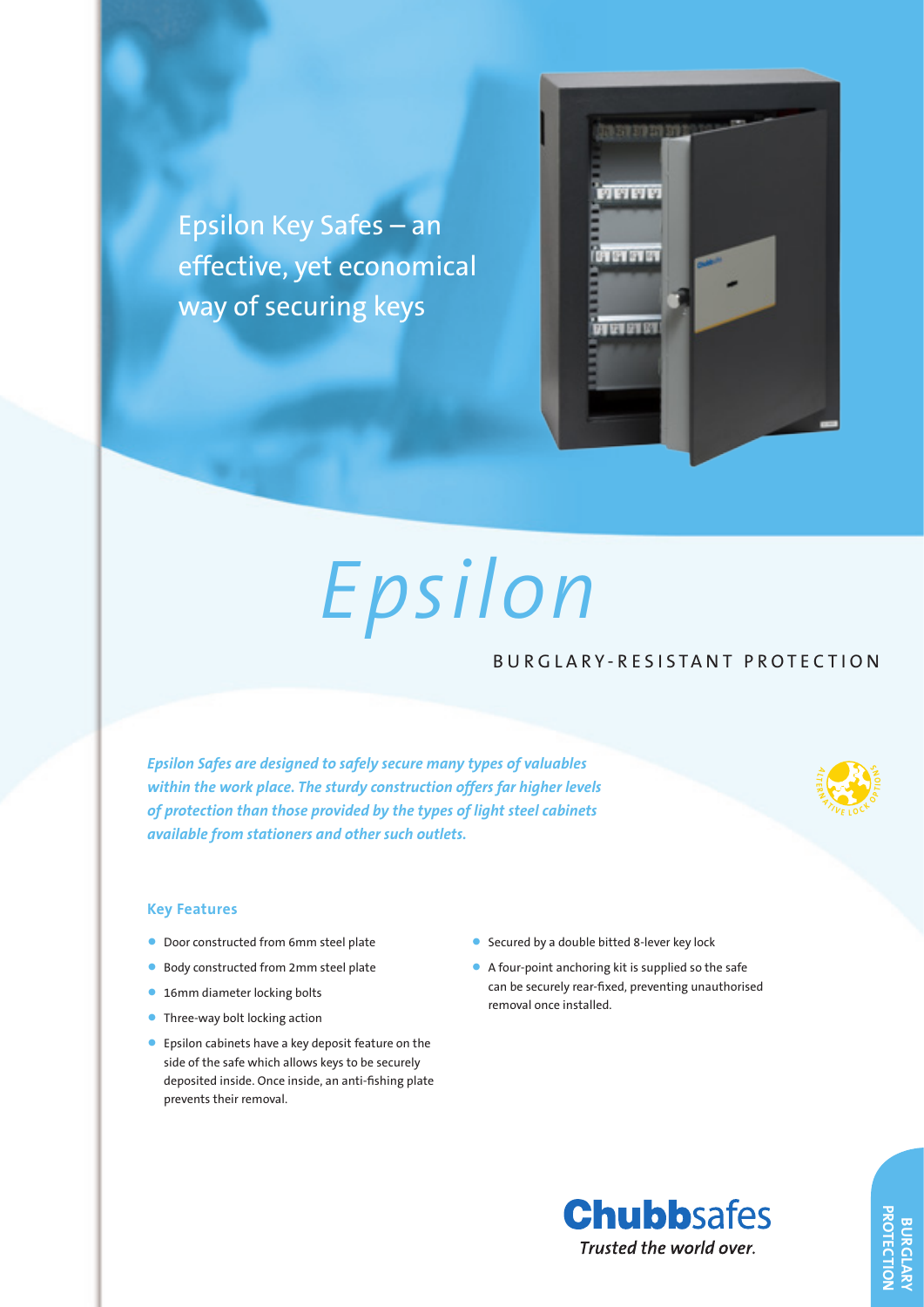Epsilon Key Safes – an effective, yet economical way of securing keys



# *Epsilon*

## BURGLARY-RESISTANT PROTECTION **S <sup>T</sup> <sup>R</sup> <sup>I</sup> <sup>N</sup> <sup>G</sup> <sup>E</sup> <sup>N</sup> <sup>T</sup> <sup>T</sup> <sup>E</sup> <sup>S</sup> <sup>T</sup> <sup>I</sup> <sup>N</sup> <sup>G</sup>**

*Epsilon Safes are designed to safely secure many types of valuables within the work place. The sturdy construction offers far higher levels of protection than those provided by the types of light steel cabinets available from stationers and other such outlets.*



**<sup>R</sup> <sup>A</sup> <sup>T</sup> <sup>I</sup> <sup>N</sup> <sup>G</sup> <sup>U</sup> <sup>P</sup> <sup>T</sup> <sup>O</sup> £ <sup>1</sup> <sup>0</sup> <sup>0</sup> <sup>0</sup> <sup>0</sup>**

#### **Key Features**

- Door constructed from 6mm steel plate
- Body constructed from 2mm steel plate
- 16mm diameter locking bolts
- Three-way bolt locking action
- Epsilon cabinets have a key deposit feature on the side of the safe which allows keys to be securely deposited inside. Once inside, an anti-fishing plate prevents their removal.
- Secured by a double bitted 8-lever key lock
- A four-point anchoring kit is supplied so the safe can be securely rear-fixed, preventing unauthorised removal once installed.